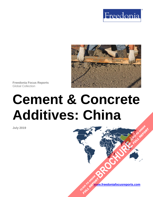



**Freedonia Focus Reports** Global Collection

# **Cement & Concrete Additives: China**

**July 2019**

**[www.freedoniafocusreports.com](https://www.freedoniafocusreports.com/redirect.asp?progid=89534&url=/)** CLICK TO ORDER **FULL REPORT** 

**[BROCHURE](https://www.freedoniafocusreports.com/Cement-Concrete-Additives-China-FC60050/?progid=89541) CLICK TO ORDER** 

**FULL REPORT**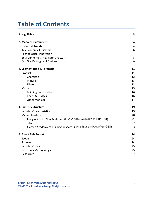# **Table of Contents**

| 1. Highlights                                      | 3              |
|----------------------------------------------------|----------------|
| 2. Market Environment                              | 4              |
| <b>Historical Trends</b>                           | 4              |
| <b>Key Economic Indicators</b>                     | 6              |
| <b>Technological Innovation</b>                    | $\overline{7}$ |
| <b>Environmental &amp; Regulatory Factors</b>      | 8              |
| Asia/Pacific Regional Outlook                      | 9              |
| 3. Segmentation & Forecasts                        | 11             |
| Products                                           | 11             |
| Chemicals                                          | 12             |
| <b>Minerals</b>                                    | 13             |
| Fibers                                             | 13             |
| Markets                                            | 15             |
| <b>Building Construction</b>                       | 16             |
| Roads & Bridges                                    | 16             |
| <b>Other Markets</b>                               | 17             |
| 4. Industry Structure                              | 19             |
| <b>Industry Characteristics</b>                    | 19             |
| <b>Market Leaders</b>                              | 20             |
| Jiangsu Subote New Materials (江苏苏博特新材料股份有限公司)      | 21             |
| Sika                                               | 22             |
| Xiamen Academy of Building Research (厦门市建筑科学研究院集团) | 23             |
| 5. About This Report                               | 24             |
| Scope                                              | 24             |
| Sources                                            | 24             |
| <b>Industry Codes</b>                              | 25             |
| Freedonia Methodology                              | 25             |
| Resources                                          | 27             |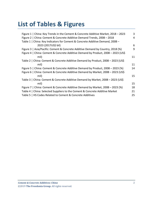# **List of Tables & Figures**

| Figure 1   China: Key Trends in the Cement & Concrete Additive Market, 2018 - 2023 | 3  |
|------------------------------------------------------------------------------------|----|
| Figure 2   China: Cement & Concrete Additive Demand Trends, 2008 - 2018            | 4  |
| Table 1   China: Key Indicators for Cement & Concrete Additive Demand, 2008 -      |    |
| 2023 (2017US\$ bil)                                                                | 6  |
| Figure 3   Asia/Pacific: Cement & Concrete Additive Demand by Country, 2018 (%)    | 9  |
| Figure 4   China: Cement & Concrete Additive Demand by Product, 2008 - 2023 (US\$) |    |
| mil)                                                                               | 11 |
| Table 2   China: Cement & Concrete Additive Demand by Product, 2008 - 2023 (US\$)  |    |
| mil)                                                                               | 11 |
| Figure 5   China: Cement & Concrete Additive Demand by Product, 2008 - 2023 (%)    | 14 |
| Figure 6   China: Cement & Concrete Additive Demand by Market, 2008 - 2023 (US\$   |    |
| mil)                                                                               | 15 |
| Table 3   China: Cement & Concrete Additive Demand by Market, 2008 - 2023 (US\$    |    |
| mil)                                                                               | 15 |
| Figure 7   China: Cement & Concrete Additive Demand by Market, 2008 – 2023 (%)     | 18 |
| Table 4   China: Selected Suppliers to the Cement & Concrete Additive Market       | 21 |
| Table 5   HS Codes Related to Cement & Concrete Additives                          | 25 |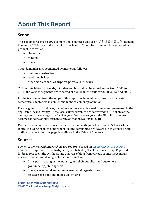# <span id="page-3-0"></span>**About This Report**

## <span id="page-3-1"></span>**Scope**

This report forecasts to 2023 cement and concrete additive (水泥和混凝土添加剂) demand in nominal US dollars at the manufacturer level in China. Total demand is segmented by product in terms of:

- chemicals
- minerals
- fibers

Total demand is also segmented by market as follows:

- building construction
- roads and bridges
- other markets such as airports, ports, and railways

To illustrate historical trends, total demand is provided in annual series from 2008 to 2018; the various segments are reported at five-year intervals for 2008, 2013, and 2018.

Products excluded from the scope of this report include minerals used as substitute cementitious materials in clinker and blended cement production.

For any given historical year, US dollar amounts are obtained from values expressed in the applicable local currency. These local currency values are converted to US dollars at the average annual exchange rate for that year. For forecast years, the US dollar amounts assume the same annual exchange rate as that prevailing in 2018.

Key macroeconomic indicators are also provided with quantified trends. Other various topics, including profiles of pertinent leading companies, are covered in this report. A full outline of report items by page is available in the Table of Contents.

## <span id="page-3-2"></span>**Sources**

*Cement & Concrete Additives: China* (FC60050) is based on *[Global Cement & Concrete](http://www.freedoniagroup.com/DocumentDetails.aspx?ReferrerId=FL-FOCUS&studyid=3748)  [Additives,](http://www.freedoniagroup.com/DocumentDetails.aspx?ReferrerId=FL-FOCUS&studyid=3748)* comprehensive industry study published by The Freedonia Group. Reported findings represent the synthesis and analysis of data from various primary, secondary, macroeconomic, and demographic sources, such as:

- firms participating in the industry, and their suppliers and customers
- government/public agencies
- intergovernmental and non-governmental organizations
- trade associations and their publications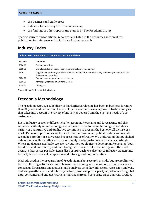- the business and trade press
- indicator forecasts by The Freedonia Group
- the findings of other reports and studies by The Freedonia Group

Specific sources and additional resources are listed in the Resources section of this publication for reference and to facilitate further research.

## <span id="page-4-0"></span>**Industry Codes**

<span id="page-4-2"></span>

| Table 5   HS Codes Related to Cement & Concrete Additives |                                                                                                                                     |  |
|-----------------------------------------------------------|-------------------------------------------------------------------------------------------------------------------------------------|--|
| <b>HS Code</b>                                            | <b>Definition</b>                                                                                                                   |  |
| 2520.10                                                   | Gypsum; anhydrite                                                                                                                   |  |
| 2618.00                                                   | Granulated slag (slag sand) from the manufacture of iron or steel                                                                   |  |
| 2620                                                      | Slag, ash and residues (other than from the manufacture of iron or steel), containing arsenic, metals or<br>their compounds, other. |  |
| 3204.17                                                   | Pigments and preparations based thereon                                                                                             |  |
| 3906.90                                                   | Acrylic polymers in primary forms, other                                                                                            |  |
| 7004.90                                                   | Other glass                                                                                                                         |  |

Source: United Nations Statistics Division

# <span id="page-4-1"></span>**Freedonia Methodology**

The Freedonia Group, a subsidiary of MarketResearch.com, has been in business for more than 30 years and in that time has developed a comprehensive approach to data analysis that takes into account the variety of industries covered and the evolving needs of our customers.

Every industry presents different challenges in market sizing and forecasting, and this requires flexibility in methodology and approach. Freedonia methodology integrates a variety of quantitative and qualitative techniques to present the best overall picture of a market's current position as well as its future outlook: When published data are available, we make sure they are correct and representative of reality. We understand that published data often have flaws either in scope or quality, and adjustments are made accordingly. Where no data are available, we use various methodologies to develop market sizing (both top-down and bottom-up) and then triangulate those results to come up with the most accurate data series possible. Regardless of approach, we also talk to industry participants to verify both historical perspective and future growth opportunities.

Methods used in the preparation of Freedonia market research include, but are not limited to, the following activities: comprehensive data mining and evaluation, primary research, consensus forecasting and analysis, ratio analysis using key indicators, regression analysis, end use growth indices and intensity factors, purchase power parity adjustments for global data, consumer and end user surveys, market share and corporate sales analysis, product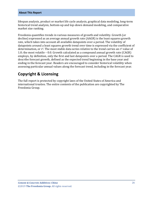#### **About This Report**

lifespan analysis, product or market life cycle analysis, graphical data modeling, long-term historical trend analysis, bottom-up and top-down demand modeling, and comparative market size ranking.

Freedonia quantifies trends in various measures of growth and volatility. Growth (or decline) expressed as an average annual growth rate (AAGR) is the least squares growth rate, which takes into account all available datapoints over a period. The volatility of datapoints around a least squares growth trend over time is expressed via the coefficient of determination, or  $r^2$ . The most stable data series relative to the trend carries an  $r^2$  value of 1.0; the most volatile – 0.0. Growth calculated as a compound annual growth rate (CAGR) employs, by definition, only the first and last datapoints over a period. The CAGR is used to describe forecast growth, defined as the expected trend beginning in the base year and ending in the forecast year. Readers are encouraged to consider historical volatility when assessing particular annual values along the forecast trend, including in the forecast year.

# **Copyright & Licensing**

The full report is protected by copyright laws of the United States of America and international treaties. The entire contents of the publication are copyrighted by The Freedonia Group.